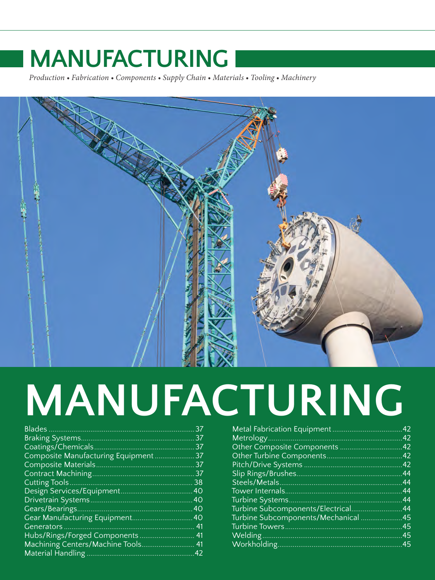*Production • Fabrication • Components • Supply Chain • Materials • Tooling • Machinery*



# **MANUFACTURING**

| <b>Blades</b>                        | 37              |
|--------------------------------------|-----------------|
|                                      | 37              |
| Coatings/Chemicals                   | 37              |
| Composite Manufacturing Equipment    | 37              |
|                                      | 37              |
| Contract Machining.                  | 37              |
| Cutting Tools                        | 38              |
| Design Services/Equipment.           | 40 <sup>°</sup> |
| Drivetrain Systems.                  | 40              |
| Gears/Bearings.                      | 40              |
| <b>Gear Manufacturing Equipment.</b> | 40              |
| Generators                           | 41              |
| Hubs/Rings/Forged Components.        | 41              |
| Machining Centers/Machine Tools      | 41              |
| Material Handling                    | 42              |

| Metal Fabrication Equipment.      | 42 |
|-----------------------------------|----|
|                                   | 42 |
| Other Composite Components        | 42 |
| Other Turbine Components.         | 42 |
|                                   | 42 |
| Slip Rings/Brushes.               | 44 |
|                                   | 44 |
|                                   | 44 |
|                                   | 44 |
| Turbine Subcomponents/Electrical. | 44 |
| Turbine Subcomponents/Mechanical  | 45 |
| <b>Turbine Towers</b>             | 45 |
| Welding                           | 45 |
|                                   | 45 |
|                                   |    |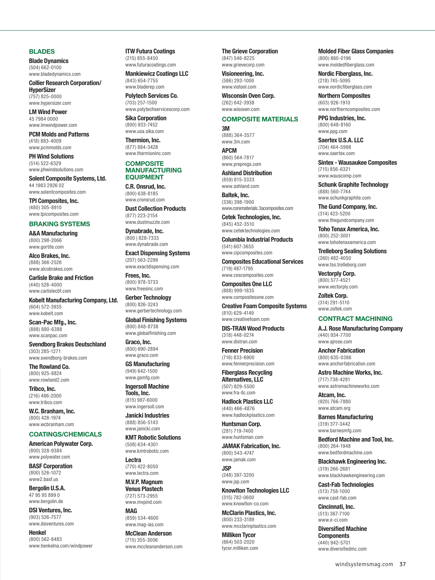#### <span id="page-1-0"></span>**BLADES**

**Blade Dynamics** (504) 662-0100 [www.bladedynamics.com](http://www.bladedynamics.com)

**Collier Research Corporation/ HyperSizer** (757) 825-0000 [www.hypersizer.com](http://www.hypersizer.com)

**LM Wind Power** 45 7984 0000 [www.lmwindpower.com](http://www.lmwindpower.com)

**PCM Molds and Patterns** (418) 883-4009 [www.pcmmolds.com](http://www.pcmmolds.com)

**PH Wind Solutions** (514) 522-6329 [www.phwindsolutions.com](http://www.phwindsolutions.com)

**Solent Composite Systems, Ltd.** 44 1983 2926 02

[www.solentcomposites.com](http://www.solentcomposites.com) **TPI Composites, Inc.** (480) 305-8910

#### [www.tpicomposites.com](http://www.tpicomposites.com) **BRAKING SYSTEMS**

**A&A Manufacturing** (800) 298-2066 [www.gortite.com](http://www.gortite.com)

**Alco Brakes, Inc.** (888) 366-2526 [www.alcobrakes.com](http://www.alcobrakes.com)

**Carlisle Brake and Friction** (440) 528-4000 [www.carlislecbf.com](http://www.carlislecbf.com)

**Kobelt Manufacturing Company, Ltd.** (604) 572-3935 [www.kobelt.com](http://www.kobelt.com)

**Scan-Pac Mfg., Inc.** (888) 880-6388 [www.scanpac.com](http://www.scanpac.com)

**Svendborg Brakes Deutschland** (303) 285-1271 [www.svendborg-brakes.com](http://www.svendborg-brakes.com)

**The Rowland Co.** (800) 925-8824 [www.rowland2.com](http://www.rowland2.com)

**Tribco, Inc.** (216) 486-2000 [www.tribco.com](http://www.tribco.com)

**W.C. Branham, Inc.** (800) 428-1974 [www.wcbranham.com](http://www.wcbranham.com)

### **COATINGS/CHEMICALS**

**American Polywater Corp.** (800) 328-9384 [www.polywater.com](http://www.polywater.com)

**BASF Corporation** (800) 526-1072 [www2.basf.us](http://www2.basf.us)

**Bergolin U.S.A.** 47 95 95 899 0 [www.bergolin.de](http://www.bergolin.de)

**DSI Ventures, Inc.** (903) 526-7577 [www.dsiventures.com](http://www.dsiventures.com)

**Henkel** (800) 562-8483 [www.henkelna.com/windpower](http://www.henkelna.com/windpower) **ITW Futura Coatings** (215) 855-8450 [www.futuracoatings.com](http://www.futuracoatings.com)

**Mankiewicz Coatings LLC** (843) 654-7755 [www.bladerep.com](http://www.bladerep.com)

**Polytech Services Co.** (703) 257-1500 [www.polytechservicescorp.com](http://www.polytechservicescorp.com)

**Sika Corporation** (800) 933-7452 [www.usa.sika.com](http://www.usa.sika.com) **Thermion, Inc.**

(877) 884-3428 [www.thermioninc.com](http://www.thermioninc.com)

#### **COMPOSITE MANUFACTURING EQUIPMENT**

**C.R. Onsrud, Inc.** (800) 638-8185 [www.cronsrud.com](http://www.cronsrud.com)

**Dust Collection Products** (877) 223-2154 [www.dustmuzzle.com](http://www.dustmuzzle.com)

**Dynabrade, Inc.** (800 ) 828-7333 [www.dynabrade.com](http://www.dynabrade.com)

**Exact Dispensing Systems** (207) 563-2299 [www.exactdispensing.com](http://www.exactdispensing.com)

**Frees, Inc.** (800) 978-3733 [www.freesinc.com](http://www.freesinc.com)

**Gerber Technology** (800) 826-3243 [www.gerbertechnology.com](http://www.gerbertechnology.com)

**Global Finishing Systems** (800) 848-8738 [www.globalfinishing.com](http://www.globalfinishing.com)

**Graco, Inc.** (800) 690-2894 [www.graco.com](http://www.graco.com)

**GS Manufacturing** (949) 642-1500 [www.gsmfg.com](http://www.gsmfg.com)

**Ingersoll Machine Tools, Inc.** (815) 987-6000 [www.ingersoll.com](http://www.ingersoll.com)

**Janicki Industries** (888) 856-5143 [www.janicki.com](http://www.janicki.com)

**KMT Robotic Solutions** (508) 634-4301 [www.kmtrobotic.com](http://www.kmtrobotic.com)

**Lectra** (770) 422-8050 [www.lectra.com](http://www.lectra.com)

**M.V.P. Magnum Venus Plastech** (727) 573-2955 [www.mvpind.com](http://www.mvpind.com)

**MAG** (859) 534-4600 [www.mag-ias.com](http://www.mag-ias.com)

**McClean Anderson** (715) 355-3006 [www.mccleananderson.com](http://www.mccleananderson.com) **The Grieve Corporation** (847) 546-8225 [www.grievecorp.com](http://www.grievecorp.com)

**Visioneering, Inc.**  $(586)$  293-1000 [www.vistool.com](http://www.vistool.com)

**Wisconsin Oven Corp.** (262) 642-3938 [www.wisoven.com](http://www.wisoven.com)

#### **COMPOSITE MATERIALS**

**3M** (888) 364-3577 [www.3m.com](http://www.3m.com)

**APCM** (860) 564-7817 [www.prepregs.com](http://www.prepregs.com)

**Ashland Distribution** (859) 815-3333 [www.ashland.com](http://www.ashland.com)

**Baltek, Inc.** (336) 398-1900 [www.corematerials.3acomposites.com](http://www.corematerials.3acomposites.com)

**Cetek Technologies, Inc.** (845) 452-3510 [www.cetektechnologies.com](http://www.cetektechnologies.com)

**Columbia Industrial Products** (541) 607-3655

[www.cipcomposites.com](http://www.cipcomposites.com) **Composites Educational Services**

(719) 487-1795 [www.cescomposites.com](http://www.cescomposites.com) **Composites One LLC**

(888) 999-1835 [www.compositesone.com](http://www.compositesone.com)

**Creative Foam Composite Systems** (810) 629-4149 [www.creativefoam.com](http://www.creativefoam.com)

**DIS-TRAN Wood Products** (318) 448-0274 [www.distran.com](http://www.distran.com)

**Fenner Precision** (716) 833-6900 [www.fennerprecision.com](http://www.fennerprecision.com)

**Fiberglass Recycling Alternatives, LLC** (507) 829-5500

[www.fra-llc.com](http://www.fra-llc.com) **Hadlock Plastics LLC** (440) 466-4876

[www.hadlockplastics.com](http://www.hadlockplastics.com) **Huntsman Corp.**

(281) 719-7400 [www.huntsman.com](http://www.huntsman.com)

**JAMAK Fabrication, Inc.** (800) 543-4747 [www.jamak.com](http://www.jamak.com)

**JSP** (248) 397-3200 [www.jsp.com](http://www.jsp.com)

**Knowlton Technologies LLC** (315) 782-0600 [www.knowlton-co.com](http://www.knowlton-co.com)

**McClarin Plastics, Inc.** (800) 233-3189 [www.mcclarinplastics.com](http://www.mcclarinplastics.com)

**Milliken Tycor** (864) 503-2020 [tycor.milliken.com](http://tycor.milliken.com)

#### **Molded Fiber Glass Companies**

(800) 860-0196 [www.moldedfiberglass.com](http://www.moldedfiberglass.com)

**Nordic Fiberglass, Inc.** (218) 745-5095

[www.nordicfiberglass.com](http://www.nordicfiberglass.com) **Northern Composites**

(603) 926-1910 [www.northerncomposites.com](http://www.northerncomposites.com)

**PPG Industries, Inc.** (800) 648-8160 [www.ppg.com](http://www.ppg.com)

**Saertex U.S.A. LLC** (704) 464-5998 [www.saertex.com](http://www.saertex.com)

**Sintex - Wausaukee Composites** (715) 856-6321 [www.wauscomp.com](http://www.wauscomp.com)

**Schunk Graphite Technology** (888) 560-7744 [www.schunkgraphite.com](http://www.schunkgraphite.com)

**The Gund Company, Inc.** (314) 423-5200 [www.thegundcompany.com](http://www.thegundcompany.com)

**Toho Tenax America, Inc.** (800) 252-3001 [www.tohotenaxamerica.com](http://www.tohotenaxamerica.com)

**Trelleborg Sealing Solutions** (260) 482-4050 [www.tss.trelleborg.com](http://www.tss.trelleborg.com)

**Vectorply Corp.** (800) 577-4521 [www.vectorply.com](http://www.vectorply.com)

**Zoltek Corp.** (314) 291-5110 [www.zoltek.com](http://www.zoltek.com)

#### **CONTRACT MACHINING**

**A.J. Rose Manufacturing Company** (440) 934-7700 [www.ajrose.com](http://www.ajrose.com)

**Anchor Fabrication** (800) 635-0386 [www.anchorfabrication.com](http://www.anchorfabrication.com)

**Astro Machine Works, Inc.** (717) 738-4281 [www.astromachineworks.com](http://www.astromachineworks.com)

**Atcam, Inc.** (920) 766-7880 [www.atcam.org](http://www.atcam.org)

**Barnes Manufacturing** (319) 377-3442 [www.barnesmfg.com](http://www.barnesmfg.com)

**Bedford Machine and Tool, Inc.** (800) 264-1948 [www.bedfordmachine.com](http://www.bedfordmachine.com)

**Blackhawk Engineering Inc.** (319) 266-2681 [www.blackhawkengineering.com](http://www.blackhawkengineering.com)

**Cast-Fab Technologies** (513) 758-1000 [www.cast-fab.com](http://www.cast-fab.com)

**Cincinnati, Inc.** (513) 367-7100 [www.e-ci.com](http://www.e-ci.com)

**Diversified Machine Components** (440) 942-5701 [www.diversifiedmc.com](http://www.diversifiedmc.com)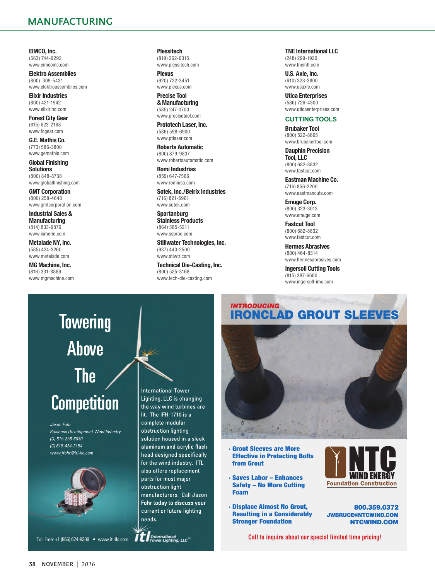<span id="page-2-0"></span>**EIMCO, Inc.** (563) 744-9292 [www.eimcoinc.com](http://www.eimcoinc.com)

**Elektro Assemblies** (800) 309-5431 [www.elektroassemblies.com](http://www.elektroassemblies.com)

**Elixir Industries** (800) 421-1942 [www.elixirind.com](http://www.elixirind.com)

**Forest City Gear** (815) 623-2168 [www.fcgear.com](http://www.fcgear.com)

**G.E. Mathis Co.** (773) 586-3800 [www.gemathis.com](http://www.gemathis.com)

**Global Finishing Solutions** (800) 848-8738 [www.globalfinishing.com](http://www.globalfinishing.com)

**GMT Corporation** (800) 258-4648 [www.gmtcorporation.com](http://www.gmtcorporation.com)

**Industrial Sales & Manufacturing** (814) 833-9876 [www.ismerie.com](http://www.ismerie.com)

**Metalade NY, Inc.** (585) 424-3260 [www.metalade.com](http://www.metalade.com)

**MG Machine, Inc.** (816) 331-8886 [www.mgmachine.com](http://www.mgmachine.com) **Plessitech** (819) 362-6315 [www.plessitech.com](http://www.plessitech.com)

**Plexus** (920) 722-3451 [www.plexus.com](http://www.plexus.com)

**Precise Tool & Manufacturing** (585) 247-0700 [www.precisetool.com](http://www.precisetool.com)

**Prototech Laser, Inc.** (586) 598-6900 [www.ptlaser.com](http://www.ptlaser.com)

**Roberts Automatic** (800) 879-9837 [www.robertsautomatic.com](http://www.robertsautomatic.com)

**Romi Industrias** (859) 647-7566 [www.romiusa.com](http://www.romiusa.com)

**Sotek, Inc./Belrix Industries** (716) 821-5961 [www.sotek.com](http://www.sotek.com)

**Spartanburg Stainless Products** (864) 585-5211 [www.ssprod.com](http://www.ssprod.com)

**Stillwater Technologies, Inc.** (937) 440-2500 [www.stlwtr.com](http://www.stlwtr.com)

**Technical Die-Casting, Inc.** (800) 525-3168 [www.tech-die-casting.com](http://www.tech-die-casting.com)

#### **TNE International LLC** (248) 299-1920 [www.tneintl.com](http://www.tneintl.com)

**U.S. Axle, Inc.** (610) 323-3800 [www.usaxle.com](http://www.usaxle.com)

**Utica Enterprises** (586) 726-4300 [www.uticaenterprises.com](http://www.uticaenterprises.com)

**CUTTING TOOLS**

**Brubaker Tool** (800) 522-8665 [www.brubakertool.com](http://www.brubakertool.com)

**Dauphin Precision Tool, LLC** (800) 682-8832 [www.fastcut.com](http://www.fastcut.com)

**Eastman Machine Co.** (716) 856-2200 [www.eastmancuts.com](http://www.eastmancuts.com)

**Emuge Corp.** (800) 323-3013 [www.emuge.com](http://www.emuge.com)

**Fastcut Tool** (800) 682-8832 [www.fastcut.com](http://www.fastcut.com)

**Hermes Abrasives** (800) 464-8314 [www.hermesabrasives.com](http://www.hermesabrasives.com)

**Ingersoll Cutting Tools** (815) 387-6600 [www.ingersoll-imc.com](http://www.ingersoll-imc.com)

# **Towering** Above The **Competition**

Jason Fohr **Business Development Wind Industry** (0) 615-256-6030 (C) 615-424-2154 www.jfohr@itl-Ilc.com



Toll Free: +1 (866) 624-8309 • [www.itl-llc.com](http://www.itl-llc.com) **The International** 

International Tower Lighting, LLC is changing the way wind turbines are lit. The IFH-1710 is a complete modular obstruction lighting solution housed in a sleek aluminum and acrylic flash head designed specifically for the wind industry. ITL also offers replacement parts for most major obstruction light manufacturers. Call Jason Fohr today to discuss your current or future lighting needs.

## IRONCLAD GROUT SLEEVES *INTRODUCING*



- · Grout Sleeves are More Effective in Protecting Bolts from Grout
- · Saves Labor Enhances Safety – No More Cutting Foam
- · Displace Almost No Grout, Resulting in a Considerably Stronger Foundation



800.359.0372 [JWBRUCE@NTCWIND.COM](mailto:JWBRUCE@NTCWIND.COM?subject=Referred by Wind Systems) [NTCWIND.COM](http://NTCWIND.COM)

**Call to inquire about our special limited time pricing!**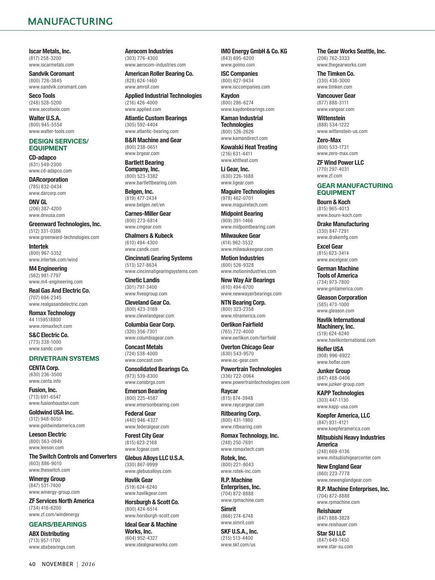<span id="page-3-0"></span>**Iscar Metals, Inc.** (817) 258-3200 [www.iscarmetals.com](http://www.iscarmetals.com)

**Sandvik Coromant** (800) 726-3845 [www.sandvik.coromant.com](http://www.sandvik.coromant.com)

**Seco Tools** (248) 528-5200 [www.secotools.com](http://www.secotools.com)

**Walter U.S.A.** (800) 945-5554 [www.walter-tools.com](http://www.walter-tools.com)

#### **DESIGN SERVICES/ EQUIPMENT**

**CD-adapco** (631) 549-2300 [www.cd-adapco.com](http://www.cd-adapco.com)

**DARcorporation** (785) 832-0434 [www.darcorp.com](http://www.darcorp.com)

**DNV GL** (206) 387-4200 [www.dnvusa.com](http://www.dnvusa.com)

**Greenward Technologies, Inc.** (512) 331-0386 [www.greenward-technologies.com](http://www.greenward-technologies.com)

**Intertek** (800) 967-5352 [www.intertek.com/wind](http://www.intertek.com/wind)

**M4 Engineering** (562) 981-7797 [www.m4-engineering.com](http://www.m4-engineering.com)

**Real Gas And Electric Co.** (707) 694-2345 [www.realgasandelectric.com](http://www.realgasandelectric.com)

**Romax Technology** 44 1159518800 [www.romaxtech.com](http://www.romaxtech.com)

**S&C Electric Co.** (773) 338-1000 [www.sandc.com](http://www.sandc.com)

#### **DRIVETRAIN SYSTEMS**

**CENTA Corp.** (630) 236-3500 [www.centa.info](http://www.centa.info)

**Fusion, Inc.** (713) 691-6547 [www.fusionhouston.com](http://www.fusionhouston.com)

**Goldwind USA Inc.** (312) 948-8050 [www.goldwindamerica.com](http://www.goldwindamerica.com)

**Leeson Electric** (800) 563-0949 [www.leeson.com](http://www.leeson.com)

**The Switch Controls and Converters** (603) 886-9010 [www.theswitch.com](http://www.theswitch.com)

**Winergy Group** (847) 531-7400 [www.winergy-group.com](http://www.winergy-group.com)

**ZF Services North America** (734) 416-6200 [www.zf.com/windenergy](http://www.zf.com/windenergy)

#### **GEARS/BEARINGS**

**ABX Distributing** (713) 957-1700 [www.abxbearings.com](http://www.abxbearings.com) **Aerocom Industries** (303) 776-4300 [www.aerocom-industries.com](http://www.aerocom-industries.com)

**American Roller Bearing Co.** (828) 624-1460 [www.amroll.com](http://www.amroll.com)

**Applied Industrial Technologies** (216) 426-4000 [www.applied.com](http://www.applied.com)

**Atlantic Custom Bearings** (305) 592-4404 [www.atlantic-bearing.com](http://www.atlantic-bearing.com)

**B&R Machine and Gear** (800) 238-0651 [www.brgear.com](http://www.brgear.com)

**Bartlett Bearing Company, Inc.** (800) 523-3382 [www.bartlettbearing.com](http://www.bartlettbearing.com)

**Belgen, Inc.** (819) 477-2434 [www.belgen.net/en](http://www.belgen.net/en)

**Carnes-Miller Gear** (800) 273-6814 [www.cmgear.com](http://www.cmgear.com)

**Chalmers & Kubeck** (610) 494-4300 [www.candk.com](http://www.candk.com)

**Cincinnati Gearing Systems** (513) 527-8634 [www.cincinnatigearingsystems.com](http://www.cincinnatigearingsystems.com)

**Cinetic Landis** (301) 797-3400 [www.fivesgroup.com](http://www.fivesgroup.com)

**Cleveland Gear Co.** (800) 423-3169 [www.clevelandgear.com](http://www.clevelandgear.com)

**Columbia Gear Corp.** (320) 356-7301 [www.columbiagear.com](http://www.columbiagear.com)

**Concast Metals** (724) 538-4000 [www.concast.com](http://www.concast.com)

**Consolidated Bearings Co.** (973) 539-8300 [www.consbrgs.com](http://www.consbrgs.com)

**Emerson Bearing** (800) 225-4587 [www.emersonbearing.com](http://www.emersonbearing.com)

**Federal Gear** (440) 946-4327 [www.federalgear.com](http://www.federalgear.com)

**Forest City Gear** (815) 623-2168 [www.fcgear.com](http://www.fcgear.com)

**Glebus Alloys LLC U.S.A.** (330) 867-9999 [www.glebusalloys.com](http://www.glebusalloys.com)

**Havlik Gear** (519) 624-6240 [www.havlikgear.com](http://www.havlikgear.com)

**Horsburgh & Scott Co.** (800) 424-6514

[www.horsburgh-scott.com](http://www.horsburgh-scott.com) **Ideal Gear & Machine** 

**Works, Inc.** (604) 952-4327 [www.idealgearworks.com](http://www.idealgearworks.com) **IMO Energy GmbH & Co. KG** (843) 695-6200 [www.goimo.com](http://www.goimo.com)

**ISC Companies** (800) 627-9434 [www.isccompanies.com](http://www.isccompanies.com)

**Kaydon** (800) 286-6274 [www.kaydonbearings.com](http://www.kaydonbearings.com)

**Kaman Industrial Technologies** (800) 526-2626 [www.kamandirect.com](http://www.kamandirect.com)

**Kowalski Heat Treating** (216) 631-4411 [www.khtheat.com](http://www.khtheat.com)

**Li Gear, Inc.** (630) 226-1688 [www.ligear.com](http://www.ligear.com)

**Maguire Technologies** (978) 462-0701 [www.maguiretech.com](http://www.maguiretech.com)

**Midpoint Bearing** (909) 391-1466 [www.midpointbearing.com](http://www.midpointbearing.com)

**Milwaukee Gear** (414) 962-3532 [www.milwaukeegear.com](http://www.milwaukeegear.com)

**Motion Industries** (800) 526-9328 [www.motionindustries.com](http://www.motionindustries.com)

**New Way Air Bearings** (610) 494-6700 [www.newwayairbearings.com](http://www.newwayairbearings.com)

**NTN Bearing Corp.** (800) 323-2358 [www.ntnamerica.com](http://www.ntnamerica.com)

**Oerlikon Fairfield** (765) 772-4000

[www.oerlikon.com/fairfield](http://www.oerlikon.com/fairfield) **Overton Chicago Gear** (630) 543-9570 [www.oc-gear.com](http://www.oc-gear.com)

**Powertrain Technologies** (336) 722-0064 [www.powertraintechnologies.com](http://www.powertraintechnologies.com)

**Raycar** (815) 874-3948 [www.raycargear.com](http://www.raycargear.com)

**Ritbearing Corp.** (800) 431-1980 [www.ritbearing.com](http://www.ritbearing.com)

**Romax Technology, Inc.** (248) 250-7691 [www.romaxtech.com](http://www.romaxtech.com)

**Rotek, Inc.** (800) 221-8043 [www.rotek-inc.com](http://www.rotek-inc.com)

**R.P. Machine Enterprises, Inc.** (704) 872-8888 [www.rpmachine.com](http://www.rpmachine.com)

**Simrit** (866) 274-6748 [www.simrit.com](http://www.simrit.com)

**SKF U.S.A., Inc.** (215) 513-4400 [www.skf.com/us](http://www.skf.com/us)

**The Gear Works Seattle, Inc.** (206) 762-3333 [www.thegearworks.com](http://www.thegearworks.com)

**The Timken Co.** (330) 438-3000 [www.timken.com](http://www.timken.com)

**Vancouver Gear** (877) 888-3111 [www.vangear.com](http://www.vangear.com)

**Wittenstein** (888) 534-1222 [www.wittenstein-us.com](http://www.wittenstein-us.com)

**Zero-Max** (800) 533-1731 [www.zero-max.com](http://www.zero-max.com)

**ZF Wind Power LLC** (770) 297-4031 [www.zf.com](http://www.zf.com)

#### **GEAR MANUFACTURING EQUIPMENT**

**Bourn & Koch** (815) 965-4013 [www.bourn-koch.com](http://www.bourn-koch.com)

**Drake Manufacturing** (330) 847-7291 [www.drakemfg.com](http://www.drakemfg.com)

**Excel Gear** (815) 623-3414 [www.excelgear.com](http://www.excelgear.com)

**German Machine Tools of America** (734) 973-7800

[www.gmtamerica.com](http://www.gmtamerica.com)

**Gleason Corporation** (585) 473-1000 [www.gleason.com](http://www.gleason.com)

**Havlik International Machinery, Inc.** (519) 624-6240

[www.havlikinternational.com](http://www.havlikinternational.com)

**Hofler USA** (908) 996-6922 [www.hofler.com](http://www.hofler.com)

**Junker Group** (847) 488-0406 [www.junker-group.com](http://www.junker-group.com)

**KAPP Technologies** (303) 447-1130 [www.kapp-usa.com](http://www.kapp-usa.com)

**Koepfer America, LLC** (847) 931-4121 [www.koepferamerica.com](http://www.koepferamerica.com)

**Mitsubishi Heavy Industries America** (248) 669-6136 [www.mitsubishigearcenter.com](http://www.mitsubishigearcenter.com)

**New England Gear** (860) 223-7778 [www.newenglandgear.com](http://www.newenglandgear.com)

**R.P. Machine Enterprises, Inc.** (704) 872-8888 [www.rpmachine.com](http://www.rpmachine.com)

**Reishauer** (847) 888-3828 [www.reishauer.com](http://www.reishauer.com)

**Star SU LLC** (847) 649-1450 [www.star-su.com](http://www.star-su.com)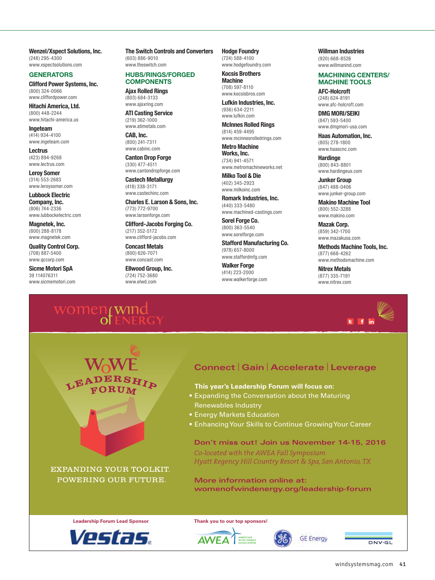<span id="page-4-0"></span>**Wenzel/Xspect Solutions, Inc.** (248) 295-4300 [www.xspectsolutions.com](http://www.xspectsolutions.com)

#### **GENERATORS**

**Clifford Power Systems, Inc.** (800) 324-0066 [www.cliffordpower.com](http://www.cliffordpower.com)

**Hitachi America, Ltd.** (800) 448-2244 [www.hitachi-america.us](http://www.hitachi-america.us)

**Ingeteam** (414) 934-4100 [www.ingeteam.com](http://www.ingeteam.com)

**Lectrus** (423) 894-9268 [www.lectrus.com](http://www.lectrus.com)

**Leroy Somer** (314) 553-2683 [www.leroysomer.com](http://www.leroysomer.com)

**Lubbock Electric Company, Inc.** (806) 744-2336 [www.lubbockelectric.com](http://www.lubbockelectric.com)

**Magnetek, Inc.** (800) 288-8178 [www.magnetek.com](http://www.magnetek.com)

**Quality Control Corp.** (708) 887-5400 [www.qccorp.com](http://www.qccorp.com)

**Sicme Motori SpA** 39 114076311 [www.sicmemotori.com](http://www.sicmemotori.com) **The Switch Controls and Converters** (603) 886-9010 [www.theswitch.com](http://www.theswitch.com)

#### **HUBS/RINGS/FORGED COMPONENTS**

**Ajax Rolled Rings** (803) 684-3133 [www.ajaxring.com](http://www.ajaxring.com)

**ATI Casting Service** (219) 362-1000 [www.atimetals.com](http://www.atimetals.com)

**CAB, Inc.** (800) 241-7311 [www.cabinc.com](http://www.cabinc.com)

**Canton Drop Forge** (330) 477-4511 [www.cantondropforge.com](http://www.cantondropforge.com)

**Castech Metallurgy** (418) 338-3171 [www.castechinc.com](http://www.castechinc.com)

**Charles E. Larson & Sons, Inc.** (773) 772-9700 [www.larsonforge.com](http://www.larsonforge.com)

**Clifford-Jacobs Forging Co.** (217) 352-5172 [www.clifford-jacobs.com](http://www.clifford-jacobs.com)

**Concast Metals** (800) 626-7071 [www.concast.com](http://www.concast.com)

**Ellwood Group, Inc.** (724) 752-3680 [www.elwd.com](http://www.elwd.com)

**Hodge Foundry** (724) 588-4100 [www.hodgefoundry.com](http://www.hodgefoundry.com)

**Kocsis Brothers Machine** (708) 597-8110 [www.kocsisbros.com](http://www.kocsisbros.com)

**Lufkin Industries, Inc.** (936) 634-2211 [www.lufkin.com](http://www.lufkin.com)

**McInnes Rolled Rings** (814) 459-4495 [www.mcinnesrolledrings.com](http://www.mcinnesrolledrings.com)

**Metro Machine Works, Inc.** (734) 941-4571 [www.metromachineworks.net](http://www.metromachineworks.net)

**Milko Tool & Die** (402) 345-2923 [www.milkoinc.com](http://www.milkoinc.com)

**Romark Industries, Inc.** (440) 333-5480 [www.machined-castings.com](http://www.machined-castings.com)

**Sorel Forge Co.** (800) 363-5540 [www.sorelforge.com](http://www.sorelforge.com)

**Stafford Manufacturing Co.** (978) 657-8000 [www.staffordmfg.com](http://www.staffordmfg.com)

**Walker Forge** (414) 223-2000 [www.walkerforge.com](http://www.walkerforge.com) **Willman Industries** (920) 668-8526

[www.willmanind.com](http://www.willmanind.com)

#### **MACHINING CENTERS/ MACHINE TOOLS**

**AFC-Holcroft** (248) 624-8191 [www.afc-holcroft.com](http://www.afc-holcroft.com)

**DMG MORI/SEIKI** (847) 593-5400 [www.dmgmori-usa.com](http://www.dmgmori-usa.com)

**Haas Automation, Inc.** (805) 278-1800 [www.haascnc.com](http://www.haascnc.com)

**Hardinge** (800) 843-8801 [www.hardingeus.com](http://www.hardingeus.com)

**Junker Group** (847) 488-0406 [www.junker-group.com](http://www.junker-group.com)

**Makino Machine Tool** (800) 552-3288 [www.makino.com](http://www.makino.com)

**Mazak Corp.** (859) 342-1700 [www.mazakusa.com](http://www.mazakusa.com)

**Methods Machine Tools, Inc.** (877) 668-4262 [www.methodsmachine.com](http://www.methodsmachine.com)

**Nitrex Metals** (877) 335-7191 [www.nitrex.com](http://www.nitrex.com)



## **Connect** | **Gain** | **Accelerate** | **Leverage**

• **This year's Leadership Forum will focus on:**

- **Expanding the Conversation about the Maturing** Renewables Industry
- Energy Markets Education
- Enhancing Your Skills to Continue Growing Your Career

**Don't miss out! Join us November 14-15, 2016**

**GE Energy** 

*Co-located with the AWEA Fall Symposium Hyatt Regency Hill Country Resort & Spa, San Antonio, TX*

**More information online at: [womenofwindenergy.org/leadership-forum](http://womenofwindenergy.org/leadership-forum)**





 [windsystemsmag.com](http://windsystemsmag.com) 41

DNV GL

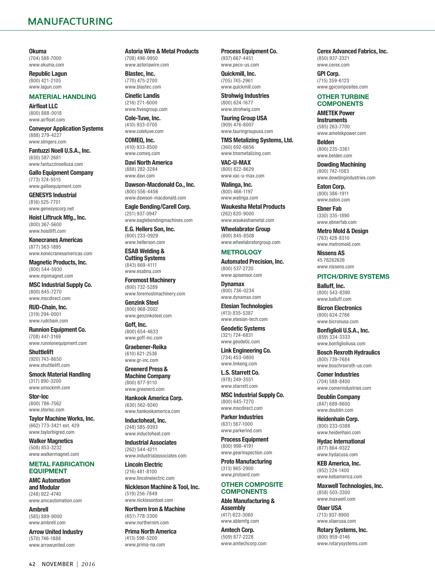<span id="page-5-0"></span>**Okuma** (704) 588-7000 [www.okuma.com](http://www.okuma.com)

**Republic Lagun** (800) 421-2105 [www.lagun.com](http://www.lagun.com)

#### **MATERIAL HANDLING**

**Airfloat LLC** (800) 888-0018 [www.airfloat.com](http://www.airfloat.com)

**Conveyor Application Systems** (888) 279-4227 [www.slingers.com](http://www.slingers.com)

**Fantuzzi Noell U.S.A., Inc.** (630) 587-2681 [www.fantuzzinoellusa.com](http://www.fantuzzinoellusa.com)

**Gallo Equipment Company** (773) 374-5515 [www.galloequipment.com](http://www.galloequipment.com)

**GENESYS Industrial** (816) 525-7701 [www.genesyscorp.net](http://www.genesyscorp.net)

**Hoist Liftruck Mfg., Inc.** (800) 367-5600 [www.hoistlift.com](http://www.hoistlift.com)

**Konecranes Americas** (877) 363-1895 [www.konecranesamericas.com](http://www.konecranesamericas.com)

**Magnetic Products, Inc.** (800) 544-5930 [www.mpimagnet.com](http://www.mpimagnet.com)

**MSC Industrial Supply Co.** (800) 645-7270 [www.mscdirect.com](http://www.mscdirect.com)

**RUD-Chain, Inc.** (319) 294-0001 [www.rudchain.com](http://www.rudchain.com)

**Runnion Equipment Co.** (708) 447-3169 [www.runnionequipment.com](http://www.runnionequipment.com)

**Shuttlelift** (920) 743-8650 [www.shuttlelift.com](http://www.shuttlelift.com)

**Smock Material Handling** (317) 890-3200 [www.smockmh.com](http://www.smockmh.com)

**Stor-loc** (800) 786-7562 [www.storloc.com](http://www.storloc.com)

**Taylor Machine Works, Inc.** (662) 773-3421 ext. 429 [www.taylorbigred.com](http://www.taylorbigred.com)

**Walker Magnetics** (508) 853-3232 [www.walkermagnet.com](http://www.walkermagnet.com)

#### **METAL FABRICATION EQUIPMENT**

**AMC Automation and Modular** (248) 922-4740 [www.amcautomation.com](http://www.amcautomation.com)

**Ambrell** (585) 889-9000 [www.ambrell.com](http://www.ambrell.com)

**Arrow United Industry** (570) 746-1888 [www.arrowunited.com](http://www.arrowunited.com)

**Astoria Wire & Metal Products** (708) 496-9950 [www.astoriawire.com](http://www.astoriawire.com)

**Blastec, Inc.** (770) 475-2700 [www.blastec.com](http://www.blastec.com)

**Cinetic Landis** (216) 271-6000 [www.fivesgroup.com](http://www.fivesgroup.com)

**Cole-Tuve, Inc.** (410) 933-0700

[www.coletuve.com](http://www.coletuve.com) **COMEQ, Inc.** (410) 933-8500 [www.comeq.com](http://www.comeq.com)

**Davi North America** (888) 282-3284 [www.davi.com](http://www.davi.com)

**Dawson-Macdonald Co., Inc.** (800) 556-4456 [www.dawson-macdonald.com](http://www.dawson-macdonald.com)

**Eagle Bending/Carell Corp.** (251) 937-0947 [www.eaglebendingmachines.com](http://www.eaglebendingmachines.com)

**E.G. Hellers Son, Inc.** (800) 233-0929 [www.hellerson.com](http://www.hellerson.com)

**ESAB Welding & Cutting Systems** (843) 669-4111 [www.esabna.com](http://www.esabna.com)

**Foremost Machinery** (800) 732-5289 [www.foremostmachinery.com](http://www.foremostmachinery.com)

**Genzink Steel** (800) 968-2002 [www.genzinksteel.com](http://www.genzinksteel.com)

**Goff, Inc.** (800) 654-4633 [www.goff-inc.com](http://www.goff-inc.com)

**Graebener-Reika** (610) 621-2536 [www.gr-inc.com](http://www.gr-inc.com)

**Greenerd Press & Machine Company** (800) 877-9110 [www.greenerd.com](http://www.greenerd.com)

**Hankook America Corp.** (630) 562-9240

[www.hankookamerica.com](http://www.hankookamerica.com)

**Inductoheat, Inc.** (248) 585-9393 [www.inductoheat.com](http://www.inductoheat.com)

**Industrial Associates** (262) 544-4211 [www.industrialassociates.com](http://www.industrialassociates.com)

**Lincoln Electric** (216) 481-8100 [www.lincolnelectric.com](http://www.lincolnelectric.com)

**Nickleson Machine & Tool, Inc.** (519) 256-7849 [www.nicklesontool.com](http://www.nicklesontool.com)

**Northern Iron & Machine** (651) 778-3300 [www.northernim.com](http://www.northernim.com)

**Prima North America** (413) 598-5200 [www.prima-na.com](http://www.prima-na.com)

**Process Equipment Co.** (937) 667-4451 [www.peco-us.com](http://www.peco-us.com)

**Quickmill, Inc.** (705) 745-2961 [www.quickmill.com](http://www.quickmill.com)

**Strohwig Industries** (800) 624-1677 [www.strohwig.com](http://www.strohwig.com)

**Tauring Group USA** (909) 476-8007 [www.tauringroupusa.com](http://www.tauringroupusa.com)

**TMS Metalizing Systems, Ltd.** (360) 692-6656

[www.tmsmetalizing.com](http://www.tmsmetalizing.com) **VAC-U-MAX** (800) 822-8629 [www.vac-u-max.com](http://www.vac-u-max.com)

**Walinga, Inc.** (800) 466-1197 [www.walinga.com](http://www.walinga.com)

**Waukesha Metal Products** (262) 820-9000 [www.waukeshametal.com](http://www.waukeshametal.com)

**Wheelabrator Group** (800) 845-8508 [www.wheelabratorgroup.com](http://www.wheelabratorgroup.com)

#### **METROLOGY**

**Automated Precision, Inc.** (800) 537-2720 [www.apisensor.com](http://www.apisensor.com)

**Dynamax** (800) 736-0234 [www.dynamax.com](http://www.dynamax.com)

**Etesian Technologies** (413) 835-5387 [www.etesian-tech.com](http://www.etesian-tech.com)

**Geodetic Systems** (321) 724-6831 [www.geodetic.com](http://www.geodetic.com)

**Link Engineering Co.** (734) 453-0800 [www.linkeng.com](http://www.linkeng.com)

**L.S. Starrett Co.** (978) 249-3551 [www.starrett.com](http://www.starrett.com)

**MSC Industrial Supply Co.** (800) 645-7270 [www.mscdirect.com](http://www.mscdirect.com)

**Parker Industries** (631) 567-1000 [www.parkerind.com](http://www.parkerind.com)

**Process Equipment** (800) 998-4191 [www.gearinspection.com](http://www.gearinspection.com)

**Proto Manufacturing** (313) 965-2900 [www.protoxrd.com](http://www.protoxrd.com)

#### **OTHER COMPOSITE COMPONENTS**

**Able Manufacturing & Assembly**

(417) 623-3060 [www.ablemfg.com](http://www.ablemfg.com)

**Amtech Corp.** (509) 877-2228 [www.amtechcorp.com](http://www.amtechcorp.com) **Cerex Advanced Fabrics, Inc.** (850) 937-3321

[www.cerex.com](http://www.cerex.com) **GPI Corp.**

(715) 359-6123 [www.gpicomposites.com](http://www.gpicomposites.com)

#### **OTHER TURBINE COMPONENTS**

**AMETEK Power Instruments** (585) 263-7700

[www.ametekpower.com](http://www.ametekpower.com) **Belden** (800) 235-3361

[www.belden.com](http://www.belden.com) **Dowding Machining**

(800) 742-1083 [www.dowdingindustries.com](http://www.dowdingindustries.com)

**Eaton Corp.** (800) 386-1911 [www.eaton.com](http://www.eaton.com)

**Ebner Fab** (330) 335-1890 [www.ebnerfab.com](http://www.ebnerfab.com)

**Metro Mold & Design** (763) 428-8310 [www.metromold.com](http://www.metromold.com)

**Nissens AS** 45 76262626 [www.nissens.com](http://www.nissens.com)

**PITCH/DRIVE SYSTEMS**

**Balluff, Inc.** (800) 543-8390 [www.balluff.com](http://www.balluff.com)

**Bicron Electronics** (800) 624-2766 [www.bicronusa.com](http://www.bicronusa.com)

**Bonfiglioli U.S.A., Inc.** (859) 334-3333 [www.bonfiglioliusa.com](http://www.bonfiglioliusa.com)

**Bosch Rexroth Hydraulics** (800) 739-7684 [www.boschrexroth-us.com](http://www.boschrexroth-us.com)

**Comer Industries** (704) 588-8400 [www.comerindustries.com](http://www.comerindustries.com)

**Deublin Company** (847) 689-8600 [www.deublin.com](http://www.deublin.com)

**Heidenhain Corp.** (800) 233-0388 [www.heidenhain.com](http://www.heidenhain.com)

**Hydac International** (877) 864-9322 [www.hydacusa.com](http://www.hydacusa.com)

**KEB America, Inc.** (952) 224-1400 [www.kebamerica.com](http://www.kebamerica.com)

**Maxwell Technologies, Inc.** (858) 503-3300 [www.maxwell.com](http://www.maxwell.com)

**Olaer USA** (713) 937-8900 [www.olaerusa.com](http://www.olaerusa.com)

**Rotary Systems, Inc.** (800) 959-0146 [www.rotarysystems.com](http://www.rotarysystems.com)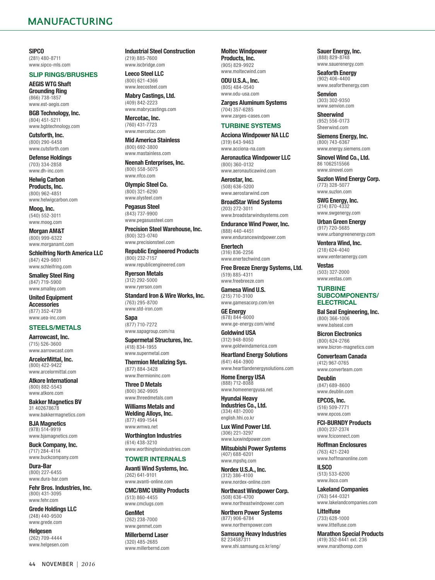<span id="page-6-0"></span>**SIPCO** (281) 480-8711 [www.sipco-mls.com](http://www.sipco-mls.com)

#### **SLIP RINGS/BRUSHES**

**AEGIS WTG Shaft Grounding Ring** (866) 738-1857 [www.est-aegis.com](http://www.est-aegis.com)

**BGB Technology, Inc.** (804) 451-5211 [www.bgbtechnology.com](http://www.bgbtechnology.com)

**Cutsforth, Inc.** (800) 290-6458 [www.cutsforth.com](http://www.cutsforth.com)

**Defense Holdings** (703) 334-2858 [www.dh-inc.com](http://www.dh-inc.com)

**Helwig Carbon Products, Inc.** (800) 962-4851 [www.helwigcarbon.com](http://www.helwigcarbon.com)

**Moog, Inc.** (540) 552-3011 [www.moog.com](http://www.moog.com)

**Morgan AM&T** (800) 999-6322 [www.morganamt.com](http://www.morganamt.com)

**Schleifring North America LLC** (847) 429-9801 [www.schleifring.com](http://www.schleifring.com)

**Smalley Steel Ring** (847) 719-5900 [www.smalley.com](http://www.smalley.com)

**United Equipment Accessories** (877) 352-4739 [www.uea-inc.com](http://www.uea-inc.com)

#### **STEELS/METALS**

**Aarrowcast, Inc.** (715) 526-3600 [www.aarrowcast.com](http://www.aarrowcast.com)

**ArcelorMittal, Inc.** (800) 422-9422 [www.arcelormittal.com](http://www.arcelormittal.com)

**Atkore International** (800) 882-5543 [www.atkore.com](http://www.atkore.com)

**Bakker Magnetics BV** 31 402678678 [www.bakkermagnetics.com](http://www.bakkermagnetics.com)

**BJA Magnetics** (978) 514-9919 [www.bjamagnetics.com](http://www.bjamagnetics.com)

**Buck Company, Inc.** (717) 284-4114 [www.buckcompany.com](http://www.buckcompany.com)

**Dura-Bar** (800) 227-6455 [www.dura-bar.com](http://www.dura-bar.com)

**Fehr Bros. Industries, Inc.** (800) 431-3095 [www.fehr.com](http://www.fehr.com)

**Grede Holdings LLC** (248) 440-9500 [www.grede.com](http://www.grede.com)

**Helgesen** (262) 709-4444 [www.helgesen.com](http://www.helgesen.com) **Industrial Steel Construction** (219) 885-7600 www.ischridge.com

**Leeco Steel LLC** (800) 621-4366 [www.leecosteel.com](http://www.leecosteel.com)

**Mabry Castings, Ltd.** (409) 842-2223 [www.mabrycastings.com](http://www.mabrycastings.com)

**Mercotac, Inc.** (760) 431-7723 [www.mercotac.com](http://www.mercotac.com)

**Mid America Stainless** (800) 692-3800 [www.mastainless.com](http://www.mastainless.com)

**Neenah Enterprises, Inc.** (800) 558-5075 [www.nfco.com](http://www.nfco.com)

**Olympic Steel Co.** (800) 321-6290 [www.olysteel.com](http://www.olysteel.com)

**Pegasus Steel** (843) 737-9900 [www.pegasussteel.com](http://www.pegasussteel.com)

**Precision Steel Warehouse, Inc.** (800) 323-0740 [www.precisionsteel.com](http://www.precisionsteel.com)

**Republic Engineered Products** (800) 232-7157 [www.republicengineered.com](http://www.republicengineered.com)

**Ryerson Metals** (312) 292-5000 [www.ryerson.com](http://www.ryerson.com)

**Standard Iron & Wire Works, Inc.** (763) 295-8700 [www.std-iron.com](http://www.std-iron.com)

**Sapa** (877) 710-7272 [www.sapagroup.com/na](http://www.sapagroup.com/na)

**Supermetal Structures, Inc.** (418) 834-1955 [www.supermetal.com](http://www.supermetal.com)

**Thermion Metalizing Sys.** (877) 884-3428 [www.thermioninc.com](http://www.thermioninc.com)

**Three D Metals** (800) 362-9905

[www.threedmetals.com](http://www.threedmetals.com) **Williams Metals and Welding Alloys, Inc.**

(877) 499-1544 [www.wmwa.net](http://www.wmwa.net)

**Worthington Industries** (614) 438-3210 [www.worthingtonindustries.com](http://www.worthingtonindustries.com)

#### **TOWER INTERNALS**

**Avanti Wind Systems, Inc.** (262) 641-9101 [www.avanti-online.com](http://www.avanti-online.com)

**CMC/BMC Utility Products** (513) 860-4455 [www.cmclugs.com](http://www.cmclugs.com)

**GenMet** (262) 238-7000 [www.genmet.com](http://www.genmet.com)

**Millerbernd Laser** (320) 485-2685 [www.millerbernd.com](http://www.millerbernd.com) **Moltec Windpower Products, Inc.** (905) 829-9922 [www.moltecwind.com](http://www.moltecwind.com)

**ODU U.S.A., Inc.** (805) 484-0540 [www.odu-usa.com](http://www.odu-usa.com)

**Zarges Aluminum Systems** (704) 357-6285 [www.zarges-cases.com](http://www.zarges-cases.com)

#### **TURBINE SYSTEMS**

**Acciona Windpower NA LLC** (319) 643-9463 [www.acciona-na.com](http://www.acciona-na.com)

**Aeronautica Windpower LLC** (800) 360-0132 [www.aeronauticawind.com](http://www.aeronauticawind.com)

**Aerostar, Inc.** (508) 636-5200 [www.aerostarwind.com](http://www.aerostarwind.com)

**BroadStar Wind Systems** (203) 272-3011 [www.broadstarwindsystems.com](http://www.broadstarwindsystems.com)

**Endurance Wind Power, Inc.** (888) 440-4451 [www.endurancewindpower.com](http://www.endurancewindpower.com)

**Enertech** (316) 836-2256 [www.enertechwind.com](http://www.enertechwind.com)

**Free Breeze Energy Systems, Ltd.** (519) 885-4311 [www.freebreeze.com](http://www.freebreeze.com)

**Gamesa Wind U.S.** (215) 710-3100 [www.gamesacorp.com/en](http://www.gamesacorp.com/en)

**GE Energy** (678) 844-6000 [www.ge-energy.com/wind](http://www.ge-energy.com/wind)

**Goldwind USA** (312) 948-8050 [www.goldwindamerica.com](http://www.goldwindamerica.com)

**Heartland Energy Solutions** (641) 464-3900 [www.heartlandenergysolutions.com](http://www.heartlandenergysolutions.com)

**Home Energy USA** (888) 712-8088 [www.homeenergyusa.net](http://www.homeenergyusa.net)

**Hyundai Heavy Industries Co., Ltd.** (334) 481-2000

[english.hhi.co.kr](http://english.hhi.co.kr) **Lux Wind Power Ltd.** (306) 221-3297 [www.luxwindpower.com](http://www.luxwindpower.com)

**Mitsubishi Power Systems** (407) 688-6201 [www.mpshq.com](http://www.mpshq.com)

**Nordex U.S.A., Inc.** (312) 386-4100 [www.nordex-online.com](http://www.nordex-online.com)

**Northeast Windpower Corp.** (508) 636-4700 [www.northeastwindpower.com](http://www.northeastwindpower.com)

**Northern Power Systems** (877) 906-6784 [www.northernpower.com](http://www.northernpower.com)

**Samsung Heavy Industries** 82 234587311 [www.shi.samsung.co.kr/eng/](http://www.shi.samsung.co.kr/eng/)

**Sauer Energy, Inc.** (888) 829-8748 [www.sauerenergy.com](http://www.sauerenergy.com)

**Seaforth Energy** (902) 406-4400 [www.seaforthenergy.com](http://www.seaforthenergy.com)

**Senvion** (303) 302-9350 [www.senvion.com](http://www.senvion.com)

**Sheerwind** (952) 556-0173 Sheerwind.com

**Siemens Energy, Inc.** (800) 743-6367 [www.energy.siemens.com](http://www.energy.siemens.com)

**Sinovel Wind Co., Ltd.** 86 1062515566 [www.sinovel.com](http://www.sinovel.com)

**Suzlon Wind Energy Corp.** (773) 328-5077 [www.suzlon.com](http://www.suzlon.com)

**SWG Energy, Inc.** (214) 870-4332 [www.swgenergy.com](http://www.swgenergy.com)

**Urban Green Energy** (917) 720-5685 [www.urbangreenenergy.com](http://www.urbangreenenergy.com)

**Ventera Wind, Inc.** (218) 624-4040 [www.venteraenergy.com](http://www.venteraenergy.com)

**Vestas** (503) 327-2000 [www.vestas.com](http://www.vestas.com)

#### **TURBINE SUBCOMPONENTS/ ELECTRICAL**

**Bal Seal Engineering, Inc.** (800) 366-1006 [www.balseal.com](http://www.balseal.com)

**Bicron Electronics** (800) 624-2766 [www.bicron-magnetics.com](http://www.bicron-magnetics.com)

**Converteam Canada** (412) 967-0765 [www.converteam.com](http://www.converteam.com)

**Deublin** (847) 689-8600 [www.deublin.com](http://www.deublin.com)

**EPCOS, Inc.** (516) 509-7771 [www.epcos.com](http://www.epcos.com)

**FCI-BURNDY Products** (800) 237-2374 [www.fciconnect.com](http://www.fciconnect.com)

**Hoffman Enclosures** (763) 421-2240

[www.hoffmanonline.com](http://www.hoffmanonline.com) **ILSCO** (513) 533-6200

[www.ilsco.com](http://www.ilsco.com) **Lakeland Companies** (763) 544-0321 [www.lakelandcompanies.com](http://www.lakelandcompanies.com)

**Littelfuse** (733) 628-1000 [www.littelfuse.com](http://www.littelfuse.com)

**Marathon Special Products** (419) 352-8441 ext. 236 [www.marathonsp.com](http://www.marathonsp.com)